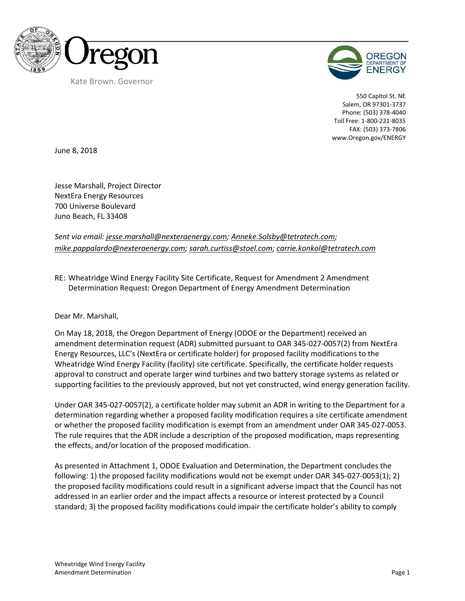



550 Capitol St. NE Salem, OR 97301-3737 Phone: (503) 378-4040 Toll Free: 1-800-221-8035 FAX: (503) 373-7806 www.Oregon.gov/ENERGY

June 8, 2018

Jesse Marshall, Project Director NextEra Energy Resources 700 Universe Boulevard Juno Beach, FL 33408

*Sent via email: jesse.marshall@nexteraenergy.com; Anneke.Solsby@tetratech.com; mike.pappalardo@nexteraenergy.com; sarah.curtiss@stoel.com; carrie.konkol@tetratech.com*

RE: Wheatridge Wind Energy Facility Site Certificate, Request for Amendment 2 Amendment Determination Request: Oregon Department of Energy Amendment Determination

Dear Mr. Marshall,

On May 18, 2018, the Oregon Department of Energy (ODOE or the Department) received an amendment determination request (ADR) submitted pursuant to OAR 345-027-0057(2) from NextEra Energy Resources, LLC's (NextEra or certificate holder) for proposed facility modifications to the Wheatridge Wind Energy Facility (facility) site certificate. Specifically, the certificate holder requests approval to construct and operate larger wind turbines and two battery storage systems as related or supporting facilities to the previously approved, but not yet constructed, wind energy generation facility.

Under OAR 345-027-0057(2), a certificate holder may submit an ADR in writing to the Department for a determination regarding whether a proposed facility modification requires a site certificate amendment or whether the proposed facility modification is exempt from an amendment under OAR 345-027-0053. The rule requires that the ADR include a description of the proposed modification, maps representing the effects, and/or location of the proposed modification.

As presented in Attachment 1, ODOE Evaluation and Determination, the Department concludes the following: 1) the proposed facility modifications would not be exempt under OAR 345-027-0053(1); 2) the proposed facility modifications could result in a significant adverse impact that the Council has not addressed in an earlier order and the impact affects a resource or interest protected by a Council standard; 3) the proposed facility modifications could impair the certificate holder's ability to comply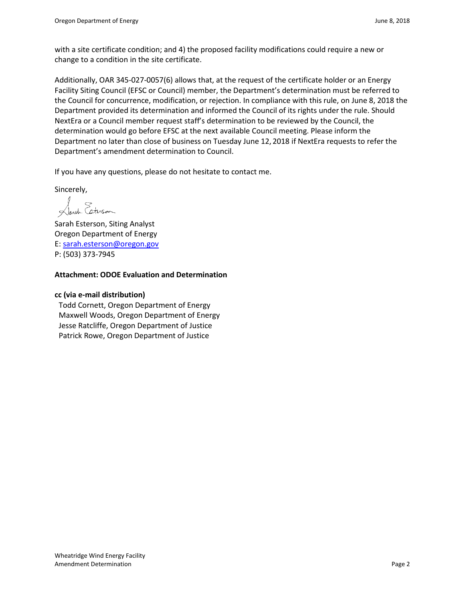with a site certificate condition; and 4) the proposed facility modifications could require a new or change to a condition in the site certificate.

Additionally, OAR 345-027-0057(6) allows that, at the request of the certificate holder or an Energy Facility Siting Council (EFSC or Council) member, the Department's determination must be referred to the Council for concurrence, modification, or rejection. In compliance with this rule, on June 8, 2018 the Department provided its determination and informed the Council of its rights under the rule. Should NextEra or a Council member request staff's determination to be reviewed by the Council, the determination would go before EFSC at the next available Council meeting. Please inform the Department no later than close of business on Tuesday June 12, 2018 if NextEra requests to refer the Department's amendment determination to Council.

If you have any questions, please do not hesitate to contact me.

Sincerely,

reh Esterson

Sarah Esterson, Siting Analyst Oregon Department of Energy E: sarah.esterson@oregon.gov P: (503) 373-7945

## **Attachment: ODOE Evaluation and Determination**

#### **cc (via e-mail distribution)**

Todd Cornett, Oregon Department of Energy Maxwell Woods, Oregon Department of Energy Jesse Ratcliffe, Oregon Department of Justice Patrick Rowe, Oregon Department of Justice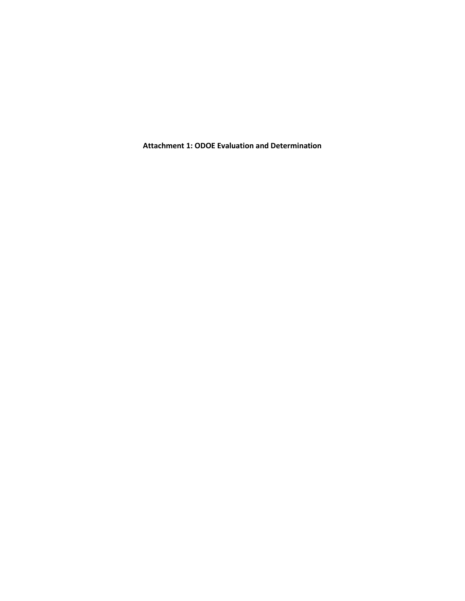**Attachment 1: ODOE Evaluation and Determination**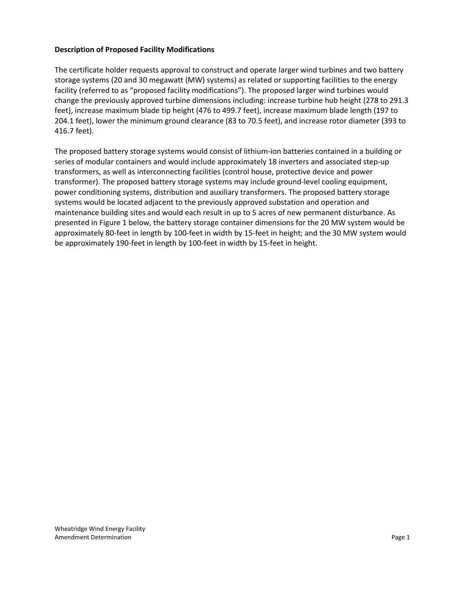### **Description of Proposed Facility Modifications**

The certificate holder requests approval to construct and operate larger wind turbines and two battery storage systems (20 and 30 megawatt (MW) systems) as related or supporting facilities to the energy facility (referred to as "proposed facility modifications"). The proposed larger wind turbines would change the previously approved turbine dimensions including: increase turbine hub height (278 to 291.3 feet), increase maximum blade tip height (476 to 499.7 feet), increase maximum blade length (197 to 204.1 feet), lower the minimum ground clearance (83 to 70.5 feet), and increase rotor diameter (393 to 416.7 feet).

The proposed battery storage systems would consist of lithium-ion batteries contained in a building or series of modular containers and would include approximately 18 inverters and associated step-up transformers, as well as interconnecting facilities (control house, protective device and power transformer). The proposed battery storage systems may include ground-level cooling equipment, power conditioning systems, distribution and auxiliary transformers. The proposed battery storage systems would be located adjacent to the previously approved substation and operation and maintenance building sites and would each result in up to 5 acres of new permanent disturbance. As presented in Figure 1 below, the battery storage container dimensions for the 20 MW system would be approximately 80-feet in length by 100-feet in width by 15-feet in height; and the 30 MW system would be approximately 190-feet in length by 100-feet in width by 15-feet in height.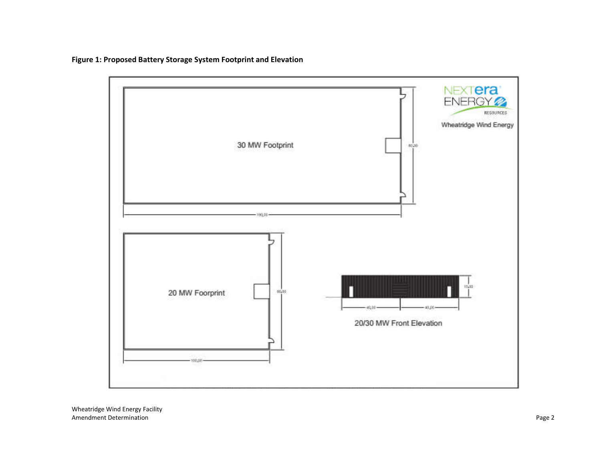

**Figure 1: Proposed Battery Storage System Footprint and Elevation**

Wheatridge Wind Energy Facility Amendment Determination **Page 2** Page 2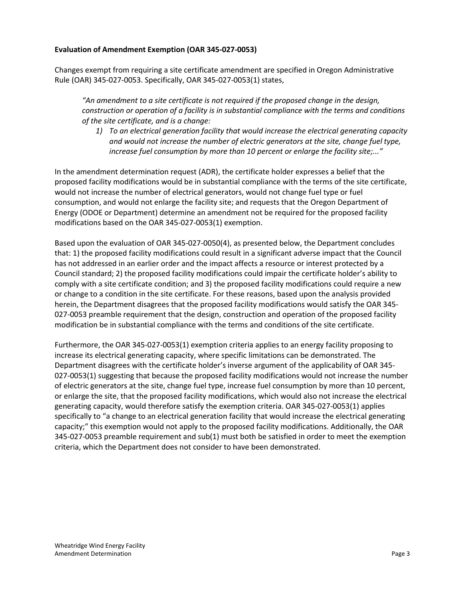## **Evaluation of Amendment Exemption (OAR 345-027-0053)**

Changes exempt from requiring a site certificate amendment are specified in Oregon Administrative Rule (OAR) 345-027-0053. Specifically, OAR 345-027-0053(1) states,

*"An amendment to a site certificate is not required if the proposed change in the design, construction or operation of a facility is in substantial compliance with the terms and conditions of the site certificate, and is a change:* 

*1) To an electrical generation facility that would increase the electrical generating capacity and would not increase the number of electric generators at the site, change fuel type, increase fuel consumption by more than 10 percent or enlarge the facility site;..."*

In the amendment determination request (ADR), the certificate holder expresses a belief that the proposed facility modifications would be in substantial compliance with the terms of the site certificate, would not increase the number of electrical generators, would not change fuel type or fuel consumption, and would not enlarge the facility site; and requests that the Oregon Department of Energy (ODOE or Department) determine an amendment not be required for the proposed facility modifications based on the OAR 345-027-0053(1) exemption.

Based upon the evaluation of OAR 345-027-0050(4), as presented below, the Department concludes that: 1) the proposed facility modifications could result in a significant adverse impact that the Council has not addressed in an earlier order and the impact affects a resource or interest protected by a Council standard; 2) the proposed facility modifications could impair the certificate holder's ability to comply with a site certificate condition; and 3) the proposed facility modifications could require a new or change to a condition in the site certificate. For these reasons, based upon the analysis provided herein, the Department disagrees that the proposed facility modifications would satisfy the OAR 345- 027-0053 preamble requirement that the design, construction and operation of the proposed facility modification be in substantial compliance with the terms and conditions of the site certificate.

Furthermore, the OAR 345-027-0053(1) exemption criteria applies to an energy facility proposing to increase its electrical generating capacity, where specific limitations can be demonstrated. The Department disagrees with the certificate holder's inverse argument of the applicability of OAR 345- 027-0053(1) suggesting that because the proposed facility modifications would not increase the number of electric generators at the site, change fuel type, increase fuel consumption by more than 10 percent, or enlarge the site, that the proposed facility modifications, which would also not increase the electrical generating capacity, would therefore satisfy the exemption criteria. OAR 345-027-0053(1) applies specifically to "a change to an electrical generation facility that would increase the electrical generating capacity;" this exemption would not apply to the proposed facility modifications. Additionally, the OAR 345-027-0053 preamble requirement and sub(1) must both be satisfied in order to meet the exemption criteria, which the Department does not consider to have been demonstrated.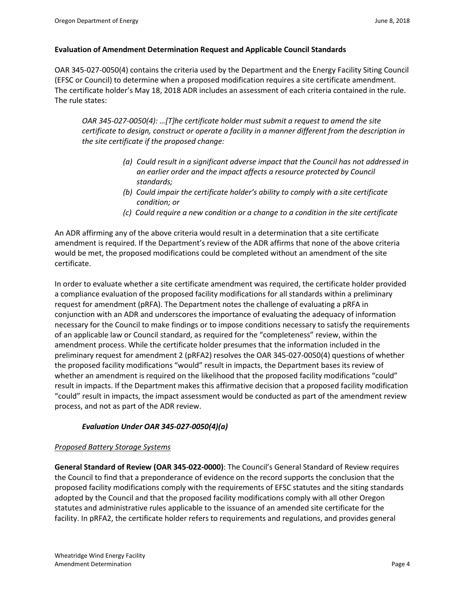### **Evaluation of Amendment Determination Request and Applicable Council Standards**

OAR 345-027-0050(4) contains the criteria used by the Department and the Energy Facility Siting Council (EFSC or Council) to determine when a proposed modification requires a site certificate amendment. The certificate holder's May 18, 2018 ADR includes an assessment of each criteria contained in the rule. The rule states:

*OAR 345-027-0050(4): …[T]he certificate holder must submit a request to amend the site certificate to design, construct or operate a facility in a manner different from the description in the site certificate if the proposed change:* 

- *(a) Could result in a significant adverse impact that the Council has not addressed in an earlier order and the impact affects a resource protected by Council standards;*
- *(b) Could impair the certificate holder's ability to comply with a site certificate condition; or*
- *(c) Could require a new condition or a change to a condition in the site certificate*

An ADR affirming any of the above criteria would result in a determination that a site certificate amendment is required. If the Department's review of the ADR affirms that none of the above criteria would be met, the proposed modifications could be completed without an amendment of the site certificate.

In order to evaluate whether a site certificate amendment was required, the certificate holder provided a compliance evaluation of the proposed facility modifications for all standards within a preliminary request for amendment (pRFA). The Department notes the challenge of evaluating a pRFA in conjunction with an ADR and underscores the importance of evaluating the adequacy of information necessary for the Council to make findings or to impose conditions necessary to satisfy the requirements of an applicable law or Council standard, as required for the "completeness" review, within the amendment process. While the certificate holder presumes that the information included in the preliminary request for amendment 2 (pRFA2) resolves the OAR 345-027-0050(4) questions of whether the proposed facility modifications "would" result in impacts, the Department bases its review of whether an amendment is required on the likelihood that the proposed facility modifications "could" result in impacts. If the Department makes this affirmative decision that a proposed facility modification "could" result in impacts, the impact assessment would be conducted as part of the amendment review process, and not as part of the ADR review.

## *Evaluation Under OAR 345-027-0050(4)(a)*

## *Proposed Battery Storage Systems*

**General Standard of Review (OAR 345-022-0000)**: The Council's General Standard of Review requires the Council to find that a preponderance of evidence on the record supports the conclusion that the proposed facility modifications comply with the requirements of EFSC statutes and the siting standards adopted by the Council and that the proposed facility modifications comply with all other Oregon statutes and administrative rules applicable to the issuance of an amended site certificate for the facility. In pRFA2, the certificate holder refers to requirements and regulations, and provides general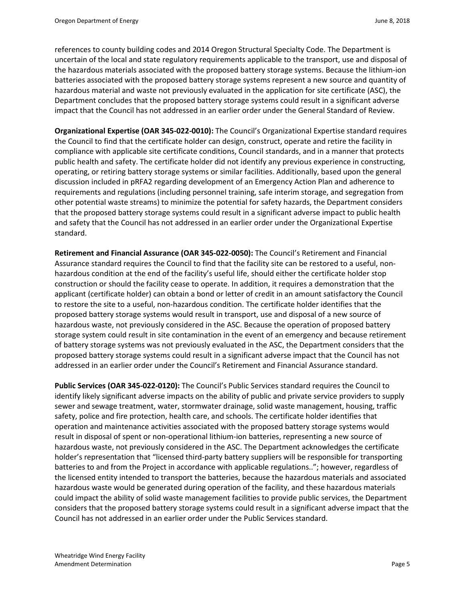references to county building codes and 2014 Oregon Structural Specialty Code. The Department is uncertain of the local and state regulatory requirements applicable to the transport, use and disposal of the hazardous materials associated with the proposed battery storage systems. Because the lithium-ion batteries associated with the proposed battery storage systems represent a new source and quantity of hazardous material and waste not previously evaluated in the application for site certificate (ASC), the Department concludes that the proposed battery storage systems could result in a significant adverse impact that the Council has not addressed in an earlier order under the General Standard of Review.

**Organizational Expertise (OAR 345-022-0010):** The Council's Organizational Expertise standard requires the Council to find that the certificate holder can design, construct, operate and retire the facility in compliance with applicable site certificate conditions, Council standards, and in a manner that protects public health and safety. The certificate holder did not identify any previous experience in constructing, operating, or retiring battery storage systems or similar facilities. Additionally, based upon the general discussion included in pRFA2 regarding development of an Emergency Action Plan and adherence to requirements and regulations (including personnel training, safe interim storage, and segregation from other potential waste streams) to minimize the potential for safety hazards, the Department considers that the proposed battery storage systems could result in a significant adverse impact to public health and safety that the Council has not addressed in an earlier order under the Organizational Expertise standard.

**Retirement and Financial Assurance (OAR 345-022-0050):** The Council's Retirement and Financial Assurance standard requires the Council to find that the facility site can be restored to a useful, nonhazardous condition at the end of the facility's useful life, should either the certificate holder stop construction or should the facility cease to operate. In addition, it requires a demonstration that the applicant (certificate holder) can obtain a bond or letter of credit in an amount satisfactory the Council to restore the site to a useful, non-hazardous condition. The certificate holder identifies that the proposed battery storage systems would result in transport, use and disposal of a new source of hazardous waste, not previously considered in the ASC. Because the operation of proposed battery storage system could result in site contamination in the event of an emergency and because retirement of battery storage systems was not previously evaluated in the ASC, the Department considers that the proposed battery storage systems could result in a significant adverse impact that the Council has not addressed in an earlier order under the Council's Retirement and Financial Assurance standard.

**Public Services (OAR 345-022-0120):** The Council's Public Services standard requires the Council to identify likely significant adverse impacts on the ability of public and private service providers to supply sewer and sewage treatment, water, stormwater drainage, solid waste management, housing, traffic safety, police and fire protection, health care, and schools. The certificate holder identifies that operation and maintenance activities associated with the proposed battery storage systems would result in disposal of spent or non-operational lithium-ion batteries, representing a new source of hazardous waste, not previously considered in the ASC. The Department acknowledges the certificate holder's representation that "licensed third-party battery suppliers will be responsible for transporting batteries to and from the Project in accordance with applicable regulations.."; however, regardless of the licensed entity intended to transport the batteries, because the hazardous materials and associated hazardous waste would be generated during operation of the facility, and these hazardous materials could impact the ability of solid waste management facilities to provide public services, the Department considers that the proposed battery storage systems could result in a significant adverse impact that the Council has not addressed in an earlier order under the Public Services standard.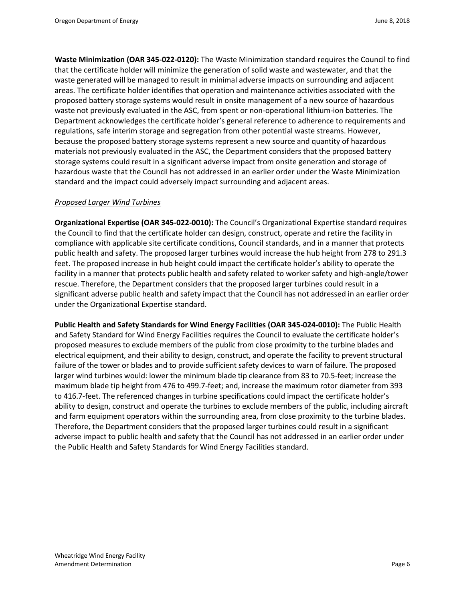**Waste Minimization (OAR 345-022-0120):** The Waste Minimization standard requires the Council to find that the certificate holder will minimize the generation of solid waste and wastewater, and that the waste generated will be managed to result in minimal adverse impacts on surrounding and adjacent areas. The certificate holder identifies that operation and maintenance activities associated with the proposed battery storage systems would result in onsite management of a new source of hazardous waste not previously evaluated in the ASC, from spent or non-operational lithium-ion batteries. The Department acknowledges the certificate holder's general reference to adherence to requirements and regulations, safe interim storage and segregation from other potential waste streams. However, because the proposed battery storage systems represent a new source and quantity of hazardous materials not previously evaluated in the ASC, the Department considers that the proposed battery storage systems could result in a significant adverse impact from onsite generation and storage of hazardous waste that the Council has not addressed in an earlier order under the Waste Minimization standard and the impact could adversely impact surrounding and adjacent areas.

#### *Proposed Larger Wind Turbines*

**Organizational Expertise (OAR 345-022-0010):** The Council's Organizational Expertise standard requires the Council to find that the certificate holder can design, construct, operate and retire the facility in compliance with applicable site certificate conditions, Council standards, and in a manner that protects public health and safety. The proposed larger turbines would increase the hub height from 278 to 291.3 feet. The proposed increase in hub height could impact the certificate holder's ability to operate the facility in a manner that protects public health and safety related to worker safety and high-angle/tower rescue. Therefore, the Department considers that the proposed larger turbines could result in a significant adverse public health and safety impact that the Council has not addressed in an earlier order under the Organizational Expertise standard.

**Public Health and Safety Standards for Wind Energy Facilities (OAR 345-024-0010):** The Public Health and Safety Standard for Wind Energy Facilities requires the Council to evaluate the certificate holder's proposed measures to exclude members of the public from close proximity to the turbine blades and electrical equipment, and their ability to design, construct, and operate the facility to prevent structural failure of the tower or blades and to provide sufficient safety devices to warn of failure. The proposed larger wind turbines would: lower the minimum blade tip clearance from 83 to 70.5-feet; increase the maximum blade tip height from 476 to 499.7-feet; and, increase the maximum rotor diameter from 393 to 416.7-feet. The referenced changes in turbine specifications could impact the certificate holder's ability to design, construct and operate the turbines to exclude members of the public, including aircraft and farm equipment operators within the surrounding area, from close proximity to the turbine blades. Therefore, the Department considers that the proposed larger turbines could result in a significant adverse impact to public health and safety that the Council has not addressed in an earlier order under the Public Health and Safety Standards for Wind Energy Facilities standard.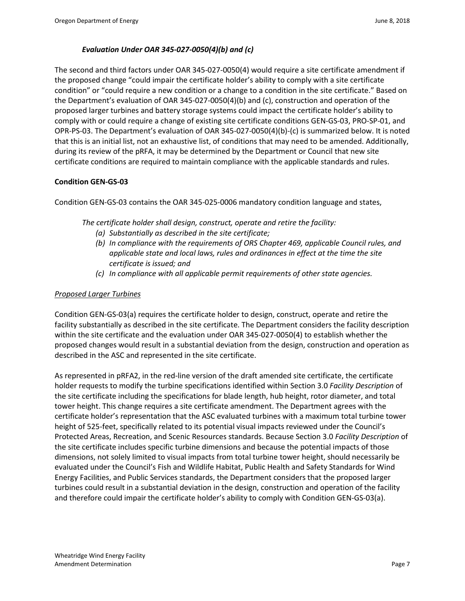## *Evaluation Under OAR 345-027-0050(4)(b) and (c)*

The second and third factors under OAR 345-027-0050(4) would require a site certificate amendment if the proposed change "could impair the certificate holder's ability to comply with a site certificate condition" or "could require a new condition or a change to a condition in the site certificate." Based on the Department's evaluation of OAR 345-027-0050(4)(b) and (c), construction and operation of the proposed larger turbines and battery storage systems could impact the certificate holder's ability to comply with or could require a change of existing site certificate conditions GEN-GS-03, PRO-SP-01, and OPR-PS-03. The Department's evaluation of OAR 345-027-0050(4)(b)-(c) is summarized below. It is noted that this is an initial list, not an exhaustive list, of conditions that may need to be amended. Additionally, during its review of the pRFA, it may be determined by the Department or Council that new site certificate conditions are required to maintain compliance with the applicable standards and rules.

## **Condition GEN-GS-03**

Condition GEN-GS-03 contains the OAR 345-025-0006 mandatory condition language and states,

*The certificate holder shall design, construct, operate and retire the facility:*

- *(a) Substantially as described in the site certificate;*
- *(b) In compliance with the requirements of ORS Chapter 469, applicable Council rules, and applicable state and local laws, rules and ordinances in effect at the time the site certificate is issued; and*
- *(c) In compliance with all applicable permit requirements of other state agencies.*

## *Proposed Larger Turbines*

Condition GEN-GS-03(a) requires the certificate holder to design, construct, operate and retire the facility substantially as described in the site certificate. The Department considers the facility description within the site certificate and the evaluation under OAR 345-027-0050(4) to establish whether the proposed changes would result in a substantial deviation from the design, construction and operation as described in the ASC and represented in the site certificate.

As represented in pRFA2, in the red-line version of the draft amended site certificate, the certificate holder requests to modify the turbine specifications identified within Section 3.0 *Facility Description* of the site certificate including the specifications for blade length, hub height, rotor diameter, and total tower height. This change requires a site certificate amendment. The Department agrees with the certificate holder's representation that the ASC evaluated turbines with a maximum total turbine tower height of 525-feet, specifically related to its potential visual impacts reviewed under the Council's Protected Areas, Recreation, and Scenic Resources standards. Because Section 3.0 *Facility Description* of the site certificate includes specific turbine dimensions and because the potential impacts of those dimensions, not solely limited to visual impacts from total turbine tower height, should necessarily be evaluated under the Council's Fish and Wildlife Habitat, Public Health and Safety Standards for Wind Energy Facilities, and Public Services standards, the Department considers that the proposed larger turbines could result in a substantial deviation in the design, construction and operation of the facility and therefore could impair the certificate holder's ability to comply with Condition GEN-GS-03(a).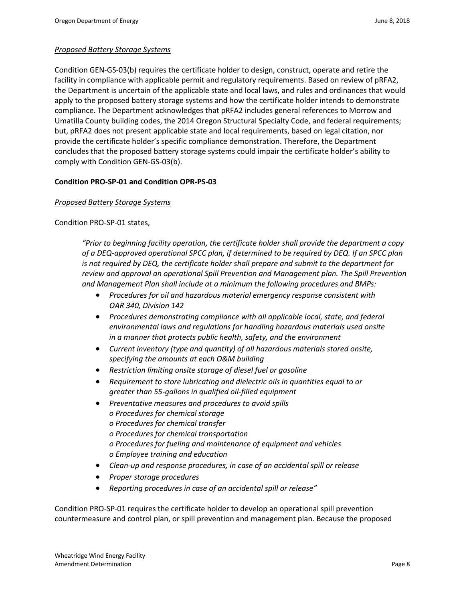# *Proposed Battery Storage Systems*

Condition GEN-GS-03(b) requires the certificate holder to design, construct, operate and retire the facility in compliance with applicable permit and regulatory requirements. Based on review of pRFA2, the Department is uncertain of the applicable state and local laws, and rules and ordinances that would apply to the proposed battery storage systems and how the certificate holder intends to demonstrate compliance. The Department acknowledges that pRFA2 includes general references to Morrow and Umatilla County building codes, the 2014 Oregon Structural Specialty Code, and federal requirements; but, pRFA2 does not present applicable state and local requirements, based on legal citation, nor provide the certificate holder's specific compliance demonstration. Therefore, the Department concludes that the proposed battery storage systems could impair the certificate holder's ability to comply with Condition GEN-GS-03(b).

## **Condition PRO-SP-01 and Condition OPR-PS-03**

## *Proposed Battery Storage Systems*

Condition PRO-SP-01 states,

*"Prior to beginning facility operation, the certificate holder shall provide the department a copy of a DEQ-approved operational SPCC plan, if determined to be required by DEQ. If an SPCC plan is not required by DEQ, the certificate holder shall prepare and submit to the department for review and approval an operational Spill Prevention and Management plan. The Spill Prevention and Management Plan shall include at a minimum the following procedures and BMPs:*

- *Procedures for oil and hazardous material emergency response consistent with OAR 340, Division 142*
- *Procedures demonstrating compliance with all applicable local, state, and federal environmental laws and regulations for handling hazardous materials used onsite in a manner that protects public health, safety, and the environment*
- *Current inventory (type and quantity) of all hazardous materials stored onsite, specifying the amounts at each O&M building*
- *Restriction limiting onsite storage of diesel fuel or gasoline*
- *Requirement to store lubricating and dielectric oils in quantities equal to or greater than 55-gallons in qualified oil-filled equipment*
- *Preventative measures and procedures to avoid spills o Procedures for chemical storage o Procedures for chemical transfer o Procedures for chemical transportation o Procedures for fueling and maintenance of equipment and vehicles o Employee training and education*
- *Clean-up and response procedures, in case of an accidental spill or release*
- *Proper storage procedures*
- *Reporting procedures in case of an accidental spill or release"*

Condition PRO-SP-01 requires the certificate holder to develop an operational spill prevention countermeasure and control plan, or spill prevention and management plan. Because the proposed